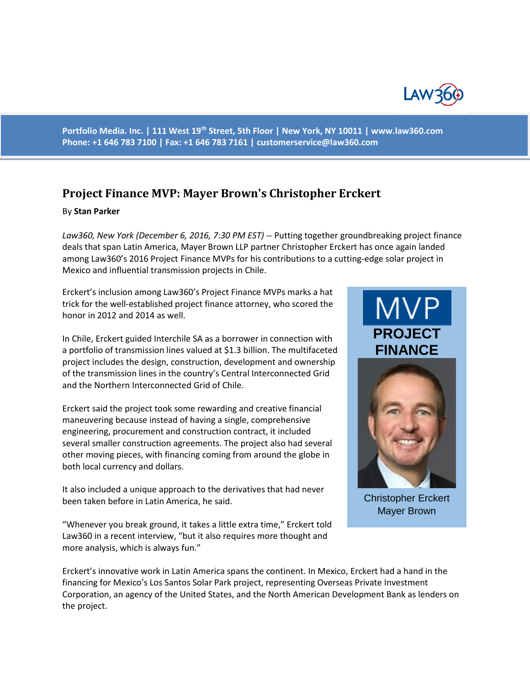

**Portfolio Media. Inc. | 111 West 19th Street, 5th Floor | New York, NY 10011 | www.law360.com Phone: +1 646 783 7100 | Fax: +1 646 783 7161 | [customerservice@law360.com](mailto:customerservice@law360.com)**

## **Project Finance MVP: Mayer Brown's Christopher Erckert**

## By **Stan Parker**

*Law360, New York (December 6, 2016, 7:30 PM EST)* -- Putting together groundbreaking project finance deals that span Latin America, Mayer Brown LLP partner Christopher Erckert has once again landed among Law360's 2016 Project Finance MVPs for his contributions to a cutting-edge solar project in Mexico and influential transmission projects in Chile.

Erckert's inclusion among Law360's Project Finance MVPs marks a hat trick for the well-established project finance attorney, who scored the honor in 2012 and 2014 as well.

In Chile, Erckert guided Interchile SA as a borrower in connection with a portfolio of transmission lines valued at \$1.3 billion. The multifaceted project includes the design, construction, development and ownership of the transmission lines in the country's Central Interconnected Grid and the Northern Interconnected Grid of Chile.

Erckert said the project took some rewarding and creative financial maneuvering because instead of having a single, comprehensive engineering, procurement and construction contract, it included several smaller construction agreements. The project also had several other moving pieces, with financing coming from around the globe in both local currency and dollars.

It also included a unique approach to the derivatives that had never been taken before in Latin America, he said.

"Whenever you break ground, it takes a little extra time," Erckert told Law360 in a recent interview, "but it also requires more thought and more analysis, which is always fun."

## **MVP PROJECT FINANCE**



Christopher Erckert Mayer Brown

Erckert's innovative work in Latin America spans the continent. In Mexico, Erckert had a hand in the financing for Mexico's Los Santos Solar Park project, representing Overseas Private Investment Corporation, an agency of the United States, and the North American Development Bank as lenders on the project.